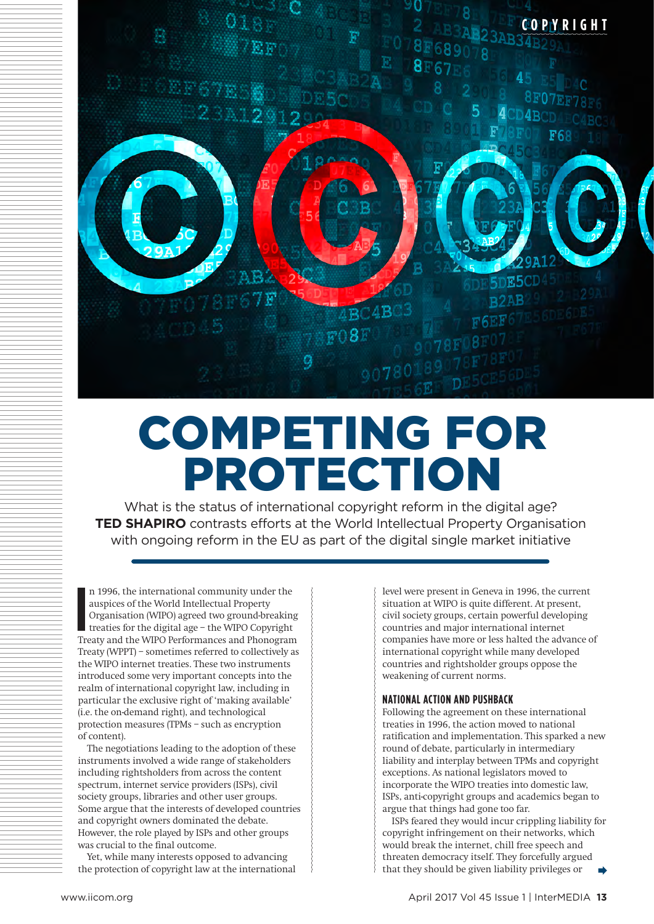

# COMPETING FOR PROTECTION

What is the status of international copyright reform in the digital age? **TED SHAPIRO** contrasts efforts at the World Intellectual Property Organisation with ongoing reform in the EU as part of the digital single market initiative

**I** n 1996, the international community under the auspices of the World Intellectual Property Organisation (WIPO) agreed two ground-breaking treaties for the digital age – the WIPO Copyright Treaty and the WIPO Performances and Phonogram Treaty (WPPT) – sometimes referred to collectively as the WIPO internet treaties. These two instruments introduced some very important concepts into the realm of international copyright law, including in particular the exclusive right of 'making available' (i.e. the on-demand right), and technological protection measures (TPMs – such as encryption of content).

The negotiations leading to the adoption of these instruments involved a wide range of stakeholders including rightsholders from across the content spectrum, internet service providers (ISPs), civil society groups, libraries and other user groups. Some argue that the interests of developed countries and copyright owners dominated the debate. However, the role played by ISPs and other groups was crucial to the final outcome.

Yet, while many interests opposed to advancing the protection of copyright law at the international

level were present in Geneva in 1996, the current situation at WIPO is quite different. At present, civil society groups, certain powerful developing countries and major international internet companies have more or less halted the advance of international copyright while many developed countries and rightsholder groups oppose the weakening of current norms.

## **NATIONAL ACTION AND PUSHBACK**

Following the agreement on these international treaties in 1996, the action moved to national ratification and implementation. This sparked a new round of debate, particularly in intermediary liability and interplay between TPMs and copyright exceptions. As national legislators moved to incorporate the WIPO treaties into domestic law, ISPs, anti-copyright groups and academics began to argue that things had gone too far.

ISPs feared they would incur crippling liability for copyright infringement on their networks, which would break the internet, chill free speech and threaten democracy itself. They forcefully argued that they should be given liability privileges or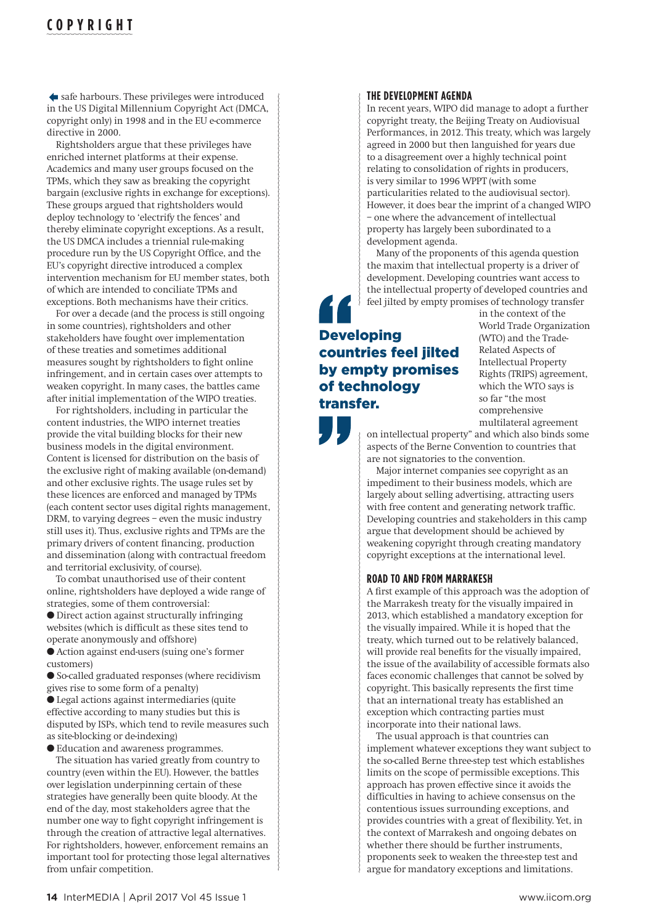# **COPYRIGHT**

safe harbours. These privileges were introduced in the US Digital Millennium Copyright Act (DMCA, copyright only) in 1998 and in the EU e-commerce directive in 2000.

Rightsholders argue that these privileges have enriched internet platforms at their expense. Academics and many user groups focused on the TPMs, which they saw as breaking the copyright bargain (exclusive rights in exchange for exceptions). These groups argued that rightsholders would deploy technology to 'electrify the fences' and thereby eliminate copyright exceptions. As a result, the US DMCA includes a triennial rule-making procedure run by the US Copyright Office, and the EU's copyright directive introduced a complex intervention mechanism for EU member states, both of which are intended to conciliate TPMs and exceptions. Both mechanisms have their critics.

For over a decade (and the process is still ongoing in some countries), rightsholders and other stakeholders have fought over implementation of these treaties and sometimes additional measures sought by rightsholders to fight online infringement, and in certain cases over attempts to weaken copyright. In many cases, the battles came after initial implementation of the WIPO treaties.

For rightsholders, including in particular the content industries, the WIPO internet treaties provide the vital building blocks for their new business models in the digital environment. Content is licensed for distribution on the basis of the exclusive right of making available (on-demand) and other exclusive rights. The usage rules set by these licences are enforced and managed by TPMs (each content sector uses digital rights management, DRM, to varying degrees – even the music industry still uses it). Thus, exclusive rights and TPMs are the primary drivers of content financing, production and dissemination (along with contractual freedom and territorial exclusivity, of course).

To combat unauthorised use of their content online, rightsholders have deployed a wide range of strategies, some of them controversial:

l Direct action against structurally infringing websites (which is difficult as these sites tend to operate anonymously and offshore)

l Action against end-users (suing one's former customers)

l So-called graduated responses (where recidivism gives rise to some form of a penalty)

 $\bullet$  Legal actions against intermediaries (quite effective according to many studies but this is disputed by ISPs, which tend to revile measures such as site-blocking or de-indexing)

l Education and awareness programmes.

The situation has varied greatly from country to country (even within the EU). However, the battles over legislation underpinning certain of these strategies have generally been quite bloody. At the end of the day, most stakeholders agree that the number one way to fight copyright infringement is through the creation of attractive legal alternatives. For rightsholders, however, enforcement remains an important tool for protecting those legal alternatives from unfair competition.

## **THE DEVELOPMENT AGENDA**

In recent years, WIPO did manage to adopt a further copyright treaty, the Beijing Treaty on Audiovisual Performances, in 2012. This treaty, which was largely agreed in 2000 but then languished for years due to a disagreement over a highly technical point relating to consolidation of rights in producers, is very similar to 1996 WPPT (with some particularities related to the audiovisual sector). However, it does bear the imprint of a changed WIPO – one where the advancement of intellectual property has largely been subordinated to a development agenda.

Many of the proponents of this agenda question the maxim that intellectual property is a driver of development. Developing countries want access to the intellectual property of developed countries and feel jilted by empty promises of technology transfer

## Developing countries feel jilted by empty promises of technology transfer.

in the context of the World Trade Organization (WTO) and the Trade-Related Aspects of Intellectual Property Rights (TRIPS) agreement, which the WTO says is so far "the most comprehensive multilateral agreement

on intellectual property" and which also binds some aspects of the Berne Convention to countries that are not signatories to the convention.

Major internet companies see copyright as an impediment to their business models, which are largely about selling advertising, attracting users with free content and generating network traffic. Developing countries and stakeholders in this camp argue that development should be achieved by weakening copyright through creating mandatory copyright exceptions at the international level.

## **ROAD TO AND FROM MARRAKESH**

A first example of this approach was the adoption of the Marrakesh treaty for the visually impaired in 2013, which established a mandatory exception for the visually impaired. While it is hoped that the treaty, which turned out to be relatively balanced, will provide real benefits for the visually impaired, the issue of the availability of accessible formats also faces economic challenges that cannot be solved by copyright. This basically represents the first time that an international treaty has established an exception which contracting parties must incorporate into their national laws.

The usual approach is that countries can implement whatever exceptions they want subject to the so-called Berne three-step test which establishes limits on the scope of permissible exceptions. This approach has proven effective since it avoids the difficulties in having to achieve consensus on the contentious issues surrounding exceptions, and provides countries with a great of flexibility. Yet, in the context of Marrakesh and ongoing debates on whether there should be further instruments, proponents seek to weaken the three-step test and argue for mandatory exceptions and limitations.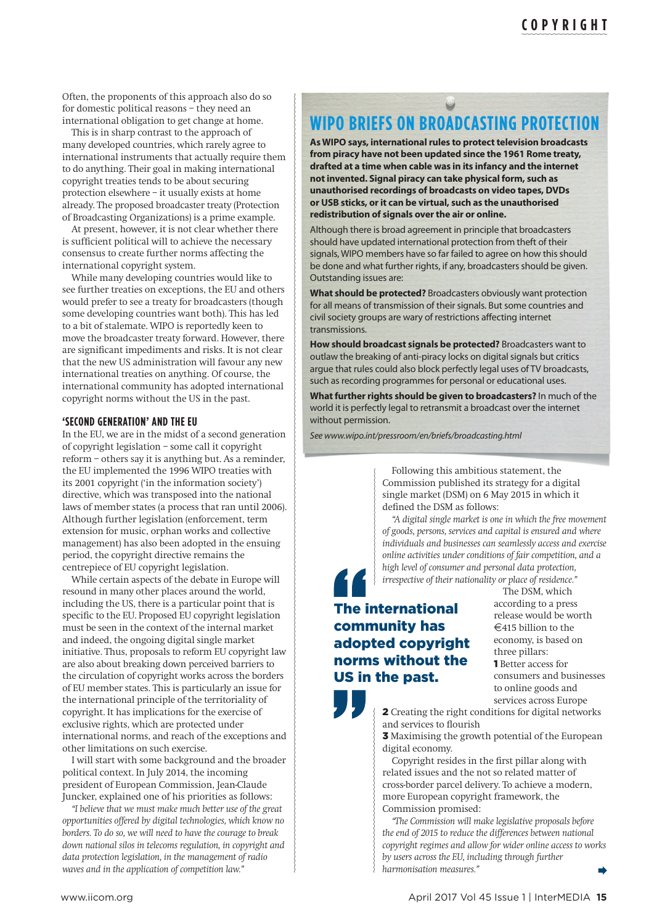Often, the proponents of this approach also do so for domestic political reasons – they need an international obligation to get change at home.

This is in sharp contrast to the approach of many developed countries, which rarely agree to international instruments that actually require them to do anything. Their goal in making international copyright treaties tends to be about securing protection elsewhere – it usually exists at home already. The proposed broadcaster treaty (Protection of Broadcasting Organizations) is a prime example.

At present, however, it is not clear whether there is sufficient political will to achieve the necessary consensus to create further norms affecting the international copyright system.

While many developing countries would like to see further treaties on exceptions, the EU and others would prefer to see a treaty for broadcasters (though some developing countries want both). This has led to a bit of stalemate. WIPO is reportedly keen to move the broadcaster treaty forward. However, there are significant impediments and risks. It is not clear that the new US administration will favour any new international treaties on anything. Of course, the international community has adopted international copyright norms without the US in the past.

#### **'SECOND GENERATION' AND THE EU**

In the EU, we are in the midst of a second generation of copyright legislation – some call it copyright reform – others say it is anything but. As a reminder, the EU implemented the 1996 WIPO treaties with its 2001 copyright ('in the information society') directive, which was transposed into the national laws of member states (a process that ran until 2006). Although further legislation (enforcement, term extension for music, orphan works and collective management) has also been adopted in the ensuing period, the copyright directive remains the centrepiece of EU copyright legislation.

While certain aspects of the debate in Europe will resound in many other places around the world, including the US, there is a particular point that is specific to the EU. Proposed EU copyright legislation must be seen in the context of the internal market and indeed, the ongoing digital single market initiative. Thus, proposals to reform EU copyright law are also about breaking down perceived barriers to the circulation of copyright works across the borders of EU member states. This is particularly an issue for the international principle of the territoriality of copyright. It has implications for the exercise of exclusive rights, which are protected under international norms, and reach of the exceptions and other limitations on such exercise.

I will start with some background and the broader political context. In July 2014, the incoming president of European Commission, Jean-Claude Juncker, explained one of his priorities as follows:

*"I believe that we must make much better use of the great opportunities offered by digital technologies, which know no borders. To do so, we will need to have the courage to break down national silos in telecoms regulation, in copyright and data protection legislation, in the management of radio waves and in the application of competition law."* 

## $\qquad \qquad \blacksquare$ **WIPO BRIEFS ON BROADCASTING PROTECTION**

**As WIPO says, international rules to protect television broadcasts from piracy have not been updated since the 1961 [Rome treaty,](http://www.wipo.int/treaties/en/ip/rome/) drafted at a time when cable was in its infancy and the internet not invented. Signal piracy can take physical form, such as unauthorised recordings of broadcasts on video tapes, DVDs or USB sticks, or it can be virtual, such as the unauthorised redistribution of signals over the air or online.**

Although there is broad agreement in principle that broadcasters should have updated international protection from theft of their signals, WIPO members have so far failed to agree on how this should be done and what further rights, if any, broadcasters should be given. Outstanding issues are:

**What should be protected?** Broadcasters obviously want protection for all means of transmission of their signals. But some countries and civil society groups are wary of restrictions affecting internet transmissions.

**How should broadcast signals be protected?** Broadcasters want to outlaw the breaking of anti-piracy locks on digital signals but critics argue that rules could also block perfectly legal uses of TV broadcasts, such as recording programmes for personal or educational uses.

**What further rights should be given to broadcasters?** In much of the world it is perfectly legal to retransmit a broadcast over the internet without permission.

*See www.wipo.int/pressroom/en/briefs/broadcasting.html*

Following this ambitious statement, the Commission published its strategy for a digital single market (DSM) on 6 May 2015 in which it defined the DSM as follows:

*"A digital single market is one in which the free movement of goods, persons, services and capital is ensured and where individuals and businesses can seamlessly access and exercise online activities under conditions of fair competition, and a high level of consumer and personal data protection, irrespective of their nationality or place of residence."* 

## The international community has adopted copyright norms without the US in the past.

The DSM, which according to a press release would be worth  $\in$ 415 billion to the economy, is based on three pillars: 1 Better access for consumers and businesses to online goods and services across Europe

2 Creating the right conditions for digital networks and services to flourish

3 Maximising the growth potential of the European digital economy.

Copyright resides in the first pillar along with related issues and the not so related matter of cross-border parcel delivery. To achieve a modern, more European copyright framework, the Commission promised:

*"The Commission will make legislative proposals before the end of 2015 to reduce the differences between national copyright regimes and allow for wider online access to works by users across the EU, including through further harmonisation measures."*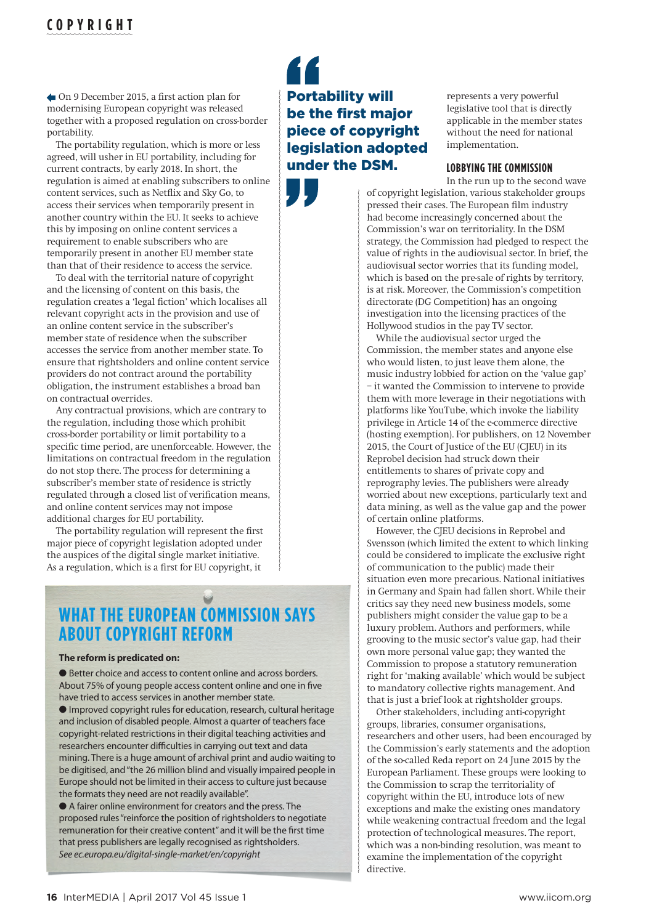# **COPYRIGHT**

On 9 December 2015, a first action plan for modernising European copyright was released together with a proposed regulation on cross-border portability.

The portability regulation, which is more or less agreed, will usher in EU portability, including for current contracts, by early 2018. In short, the regulation is aimed at enabling subscribers to online content services, such as Netflix and Sky Go, to access their services when temporarily present in another country within the EU. It seeks to achieve this by imposing on online content services a requirement to enable subscribers who are temporarily present in another EU member state than that of their residence to access the service.

To deal with the territorial nature of copyright and the licensing of content on this basis, the regulation creates a 'legal fiction' which localises all relevant copyright acts in the provision and use of an online content service in the subscriber's member state of residence when the subscriber accesses the service from another member state. To ensure that rightsholders and online content service providers do not contract around the portability obligation, the instrument establishes a broad ban on contractual overrides.

Any contractual provisions, which are contrary to the regulation, including those which prohibit cross-border portability or limit portability to a specific time period, are unenforceable. However, the limitations on contractual freedom in the regulation do not stop there. The process for determining a subscriber's member state of residence is strictly regulated through a closed list of verification means, and online content services may not impose additional charges for EU portability.

The portability regulation will represent the first major piece of copyright legislation adopted under the auspices of the digital single market initiative. As a regulation, which is a first for EU copyright, it

# **WHAT THE EUROPEAN COMMISSION SAYS ABOUT COPYRIGHT REFORM**

#### **The reform is predicated on:**

● Better choice and access to content online and across borders. About 75% of young people access content online and one in five have tried to access services in another member state.

● Improved copyright rules for education, research, cultural heritage and inclusion of disabled people. Almost a quarter of teachers face copyright-related restrictions in their digital teaching activities and researchers encounter difficulties in carrying out text and data mining. There is a huge amount of archival print and audio waiting to be digitised, and "the 26 million blind and visually impaired people in Europe should not be limited in their access to culture just because the formats they need are not readily available".

l A fairer online environment for creators and the press. The proposed rules "reinforce the position of rightsholders to negotiate remuneration for their creative content" and it will be the first time that press publishers are legally recognised as rightsholders. *See ec.europa.eu/digital-single-market/en/copyright*

Portability will be the first major piece of copyright legislation adopted under the DSM.

represents a very powerful legislative tool that is directly applicable in the member states without the need for national implementation.

## **LOBBYING THE COMMISSION**

In the run up to the second wave of copyright legislation, various stakeholder groups pressed their cases. The European film industry had become increasingly concerned about the Commission's war on territoriality. In the DSM strategy, the Commission had pledged to respect the value of rights in the audiovisual sector. In brief, the audiovisual sector worries that its funding model, which is based on the pre-sale of rights by territory, is at risk. Moreover, the Commission's competition directorate (DG Competition) has an ongoing investigation into the licensing practices of the Hollywood studios in the pay TV sector.

While the audiovisual sector urged the Commission, the member states and anyone else who would listen, to just leave them alone, the music industry lobbied for action on the 'value gap' – it wanted the Commission to intervene to provide them with more leverage in their negotiations with platforms like YouTube, which invoke the liability privilege in Article 14 of the e-commerce directive (hosting exemption). For publishers, on 12 November 2015, the Court of Justice of the EU (CJEU) in its Reprobel decision had struck down their entitlements to shares of private copy and reprography levies. The publishers were already worried about new exceptions, particularly text and data mining, as well as the value gap and the power of certain online platforms.

However, the CIEU decisions in Reprobel and Svensson (which limited the extent to which linking could be considered to implicate the exclusive right of communication to the public) made their situation even more precarious. National initiatives in Germany and Spain had fallen short. While their critics say they need new business models, some publishers might consider the value gap to be a luxury problem. Authors and performers, while grooving to the music sector's value gap, had their own more personal value gap; they wanted the Commission to propose a statutory remuneration right for 'making available' which would be subject to mandatory collective rights management. And that is just a brief look at rightsholder groups.

Other stakeholders, including anti-copyright groups, libraries, consumer organisations, researchers and other users, had been encouraged by the Commission's early statements and the adoption of the so-called Reda report on 24 June 2015 by the European Parliament. These groups were looking to the Commission to scrap the territoriality of copyright within the EU, introduce lots of new exceptions and make the existing ones mandatory while weakening contractual freedom and the legal protection of technological measures. The report, which was a non-binding resolution, was meant to examine the implementation of the copyright directive.